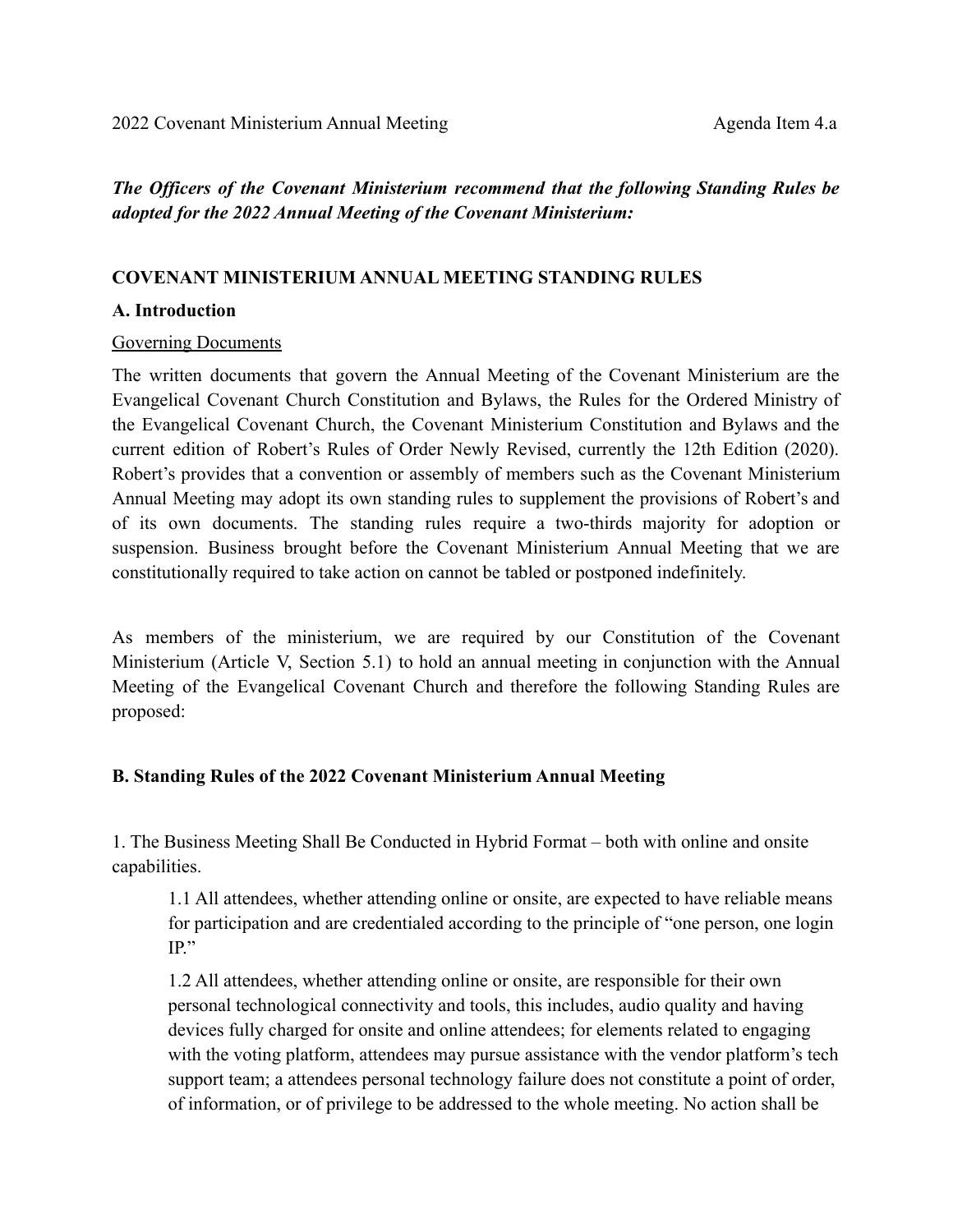*The Officers of the Covenant Ministerium recommend that the following Standing Rules be adopted for the 2022 Annual Meeting of the Covenant Ministerium:*

### **COVENANT MINISTERIUM ANNUAL MEETING STANDING RULES**

#### **A. Introduction**

#### Governing Documents

The written documents that govern the Annual Meeting of the Covenant Ministerium are the Evangelical Covenant Church Constitution and Bylaws, the Rules for the Ordered Ministry of the Evangelical Covenant Church, the Covenant Ministerium Constitution and Bylaws and the current edition of Robert's Rules of Order Newly Revised, currently the 12th Edition (2020). Robert's provides that a convention or assembly of members such as the Covenant Ministerium Annual Meeting may adopt its own standing rules to supplement the provisions of Robert's and of its own documents. The standing rules require a two-thirds majority for adoption or suspension. Business brought before the Covenant Ministerium Annual Meeting that we are constitutionally required to take action on cannot be tabled or postponed indefinitely.

As members of the ministerium, we are required by our Constitution of the Covenant Ministerium (Article V, Section 5.1) to hold an annual meeting in conjunction with the Annual Meeting of the Evangelical Covenant Church and therefore the following Standing Rules are proposed:

#### **B. Standing Rules of the 2022 Covenant Ministerium Annual Meeting**

1. The Business Meeting Shall Be Conducted in Hybrid Format – both with online and onsite capabilities.

1.1 All attendees, whether attending online or onsite, are expected to have reliable means for participation and are credentialed according to the principle of "one person, one login IP."

1.2 All attendees, whether attending online or onsite, are responsible for their own personal technological connectivity and tools, this includes, audio quality and having devices fully charged for onsite and online attendees; for elements related to engaging with the voting platform, attendees may pursue assistance with the vendor platform's tech support team; a attendees personal technology failure does not constitute a point of order, of information, or of privilege to be addressed to the whole meeting. No action shall be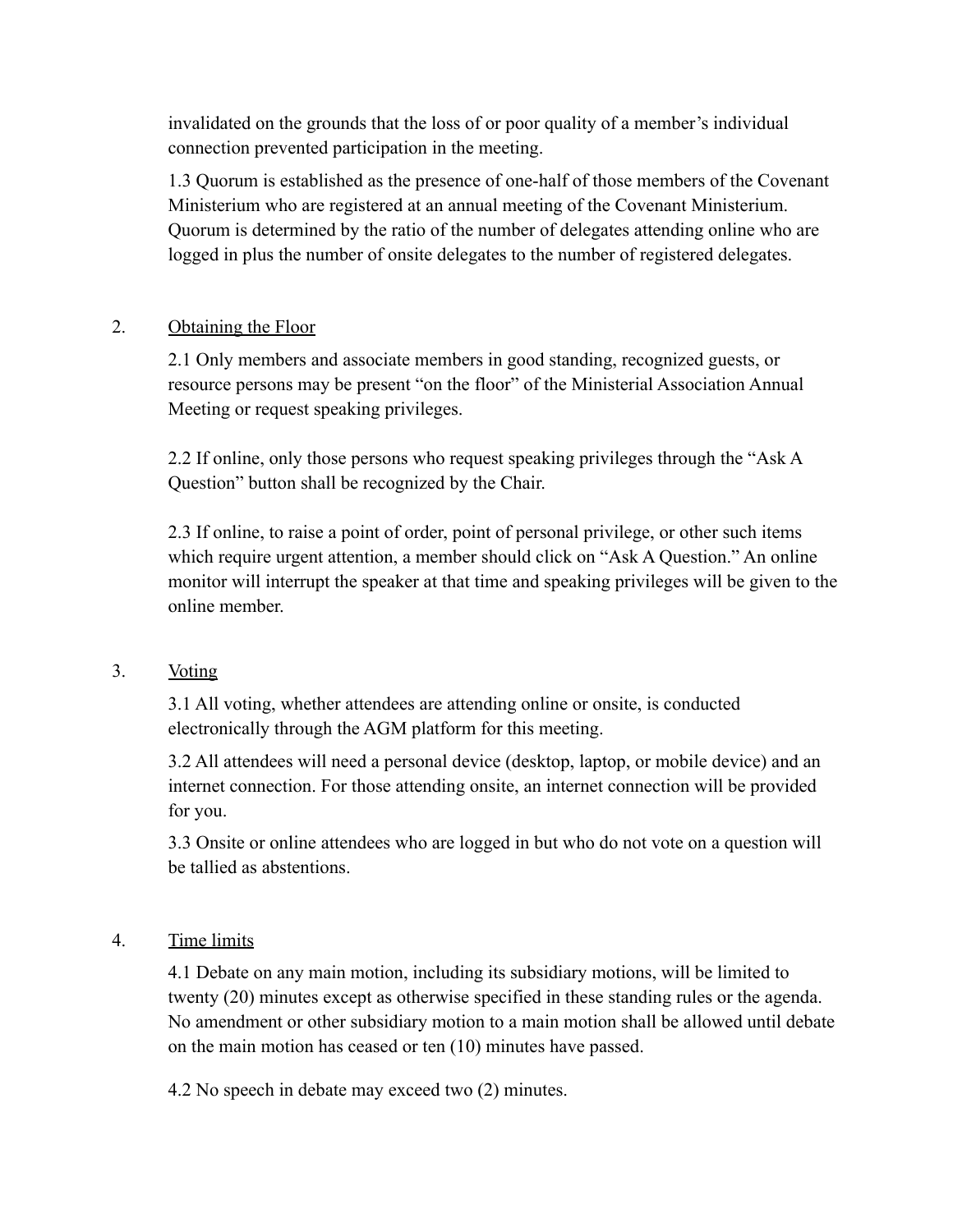invalidated on the grounds that the loss of or poor quality of a member's individual connection prevented participation in the meeting.

1.3 Quorum is established as the presence of one-half of those members of the Covenant Ministerium who are registered at an annual meeting of the Covenant Ministerium. Quorum is determined by the ratio of the number of delegates attending online who are logged in plus the number of onsite delegates to the number of registered delegates.

# 2. Obtaining the Floor

2.1 Only members and associate members in good standing, recognized guests, or resource persons may be present "on the floor" of the Ministerial Association Annual Meeting or request speaking privileges.

2.2 If online, only those persons who request speaking privileges through the "Ask A Question" button shall be recognized by the Chair.

2.3 If online, to raise a point of order, point of personal privilege, or other such items which require urgent attention, a member should click on "Ask A Question." An online monitor will interrupt the speaker at that time and speaking privileges will be given to the online member.

# 3. Voting

3.1 All voting, whether attendees are attending online or onsite, is conducted electronically through the AGM platform for this meeting.

3.2 All attendees will need a personal device (desktop, laptop, or mobile device) and an internet connection. For those attending onsite, an internet connection will be provided for you.

3.3 Onsite or online attendees who are logged in but who do not vote on a question will be tallied as abstentions.

# 4. Time limits

4.1 Debate on any main motion, including its subsidiary motions, will be limited to twenty (20) minutes except as otherwise specified in these standing rules or the agenda. No amendment or other subsidiary motion to a main motion shall be allowed until debate on the main motion has ceased or ten (10) minutes have passed.

4.2 No speech in debate may exceed two (2) minutes.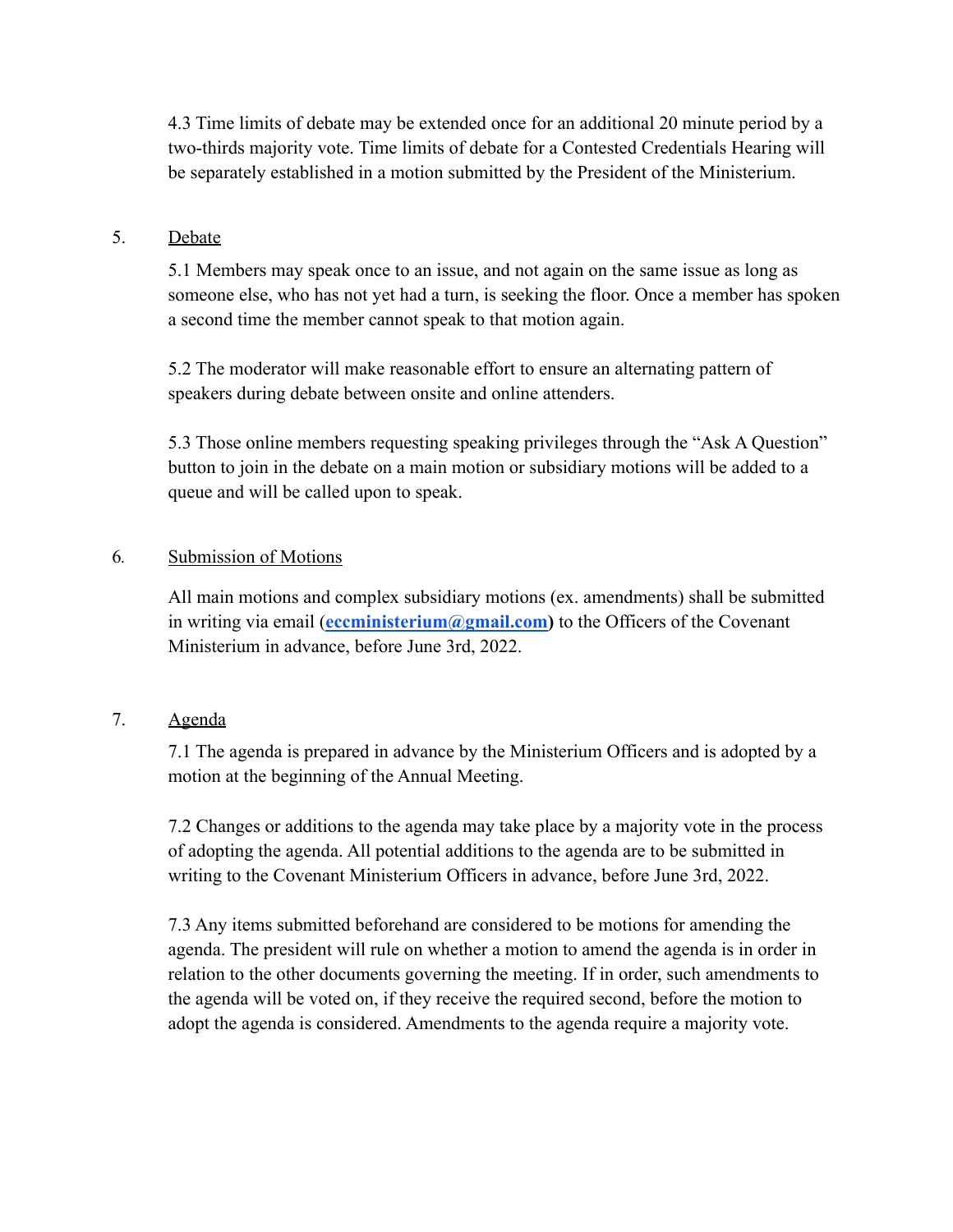4.3 Time limits of debate may be extended once for an additional 20 minute period by a two-thirds majority vote. Time limits of debate for a Contested Credentials Hearing will be separately established in a motion submitted by the President of the Ministerium.

### 5. Debate

5.1 Members may speak once to an issue, and not again on the same issue as long as someone else, who has not yet had a turn, is seeking the floor. Once a member has spoken a second time the member cannot speak to that motion again.

5.2 The moderator will make reasonable effort to ensure an alternating pattern of speakers during debate between onsite and online attenders.

5.3 Those online members requesting speaking privileges through the "Ask A Question" button to join in the debate on a main motion or subsidiary motions will be added to a queue and will be called upon to speak.

### 6*.* Submission of Motions

All main motions and complex subsidiary motions (ex. amendments) shall be submitted in writing via email (**[eccministerium@gmail.com](mailto:eccministerium@gmail.com))** to the Officers of the Covenant Ministerium in advance, before June 3rd, 2022.

# 7. Agenda

7.1 The agenda is prepared in advance by the Ministerium Officers and is adopted by a motion at the beginning of the Annual Meeting.

7.2 Changes or additions to the agenda may take place by a majority vote in the process of adopting the agenda. All potential additions to the agenda are to be submitted in writing to the Covenant Ministerium Officers in advance, before June 3rd, 2022.

7.3 Any items submitted beforehand are considered to be motions for amending the agenda. The president will rule on whether a motion to amend the agenda is in order in relation to the other documents governing the meeting. If in order, such amendments to the agenda will be voted on, if they receive the required second, before the motion to adopt the agenda is considered. Amendments to the agenda require a majority vote.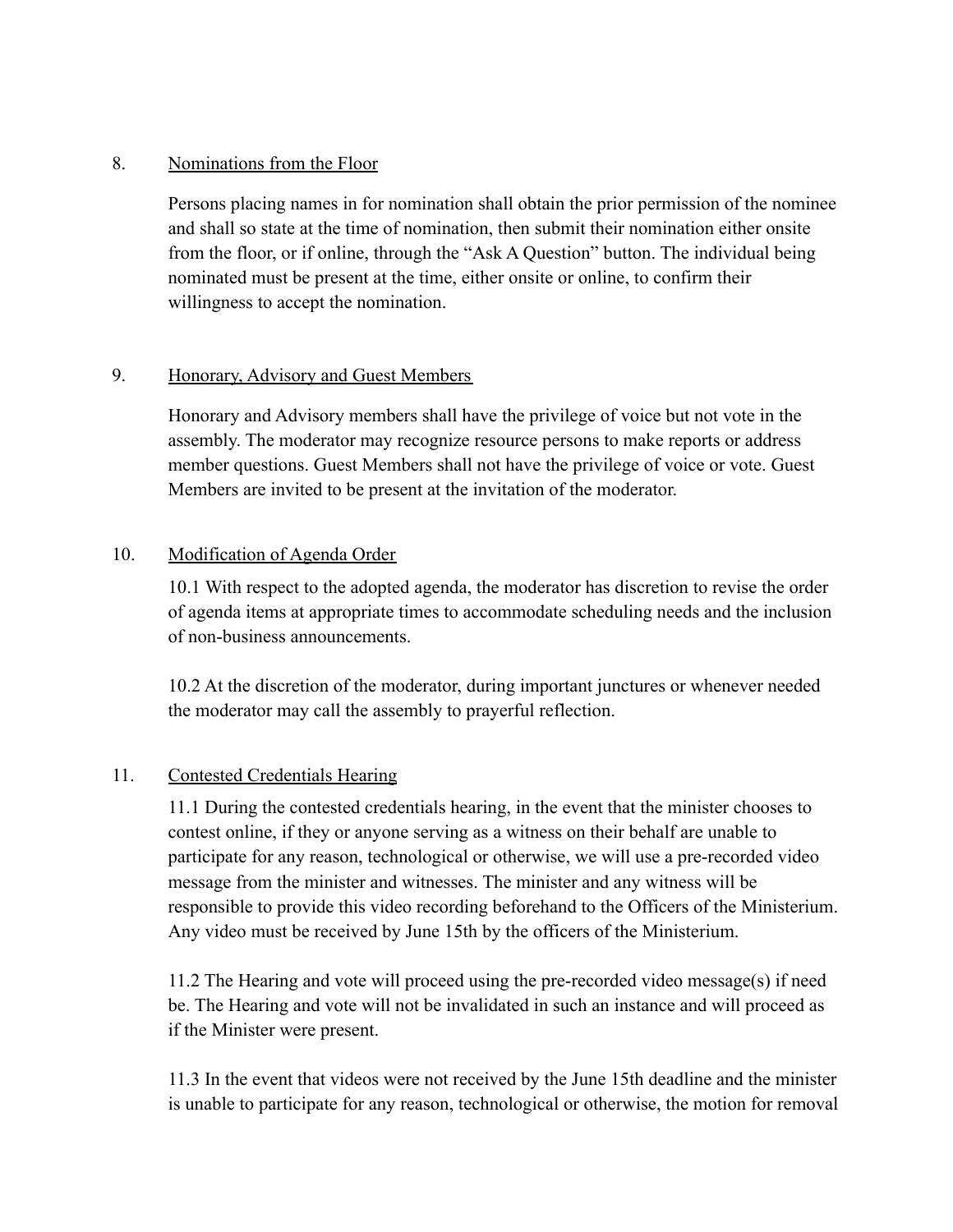## 8. Nominations from the Floor

Persons placing names in for nomination shall obtain the prior permission of the nominee and shall so state at the time of nomination, then submit their nomination either onsite from the floor, or if online, through the "Ask A Question" button. The individual being nominated must be present at the time, either onsite or online, to confirm their willingness to accept the nomination.

# 9. Honorary, Advisory and Guest Members

Honorary and Advisory members shall have the privilege of voice but not vote in the assembly. The moderator may recognize resource persons to make reports or address member questions. Guest Members shall not have the privilege of voice or vote. Guest Members are invited to be present at the invitation of the moderator.

### 10. Modification of Agenda Order

10.1 With respect to the adopted agenda, the moderator has discretion to revise the order of agenda items at appropriate times to accommodate scheduling needs and the inclusion of non-business announcements.

10.2 At the discretion of the moderator, during important junctures or whenever needed the moderator may call the assembly to prayerful reflection.

# 11. Contested Credentials Hearing

11.1 During the contested credentials hearing, in the event that the minister chooses to contest online, if they or anyone serving as a witness on their behalf are unable to participate for any reason, technological or otherwise, we will use a pre-recorded video message from the minister and witnesses. The minister and any witness will be responsible to provide this video recording beforehand to the Officers of the Ministerium. Any video must be received by June 15th by the officers of the Ministerium.

11.2 The Hearing and vote will proceed using the pre-recorded video message(s) if need be. The Hearing and vote will not be invalidated in such an instance and will proceed as if the Minister were present.

11.3 In the event that videos were not received by the June 15th deadline and the minister is unable to participate for any reason, technological or otherwise, the motion for removal